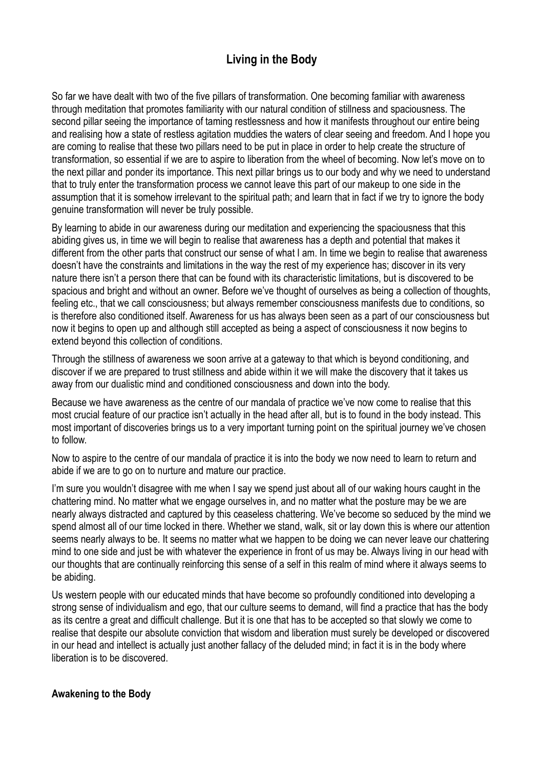# **Living in the Body**

So far we have dealt with two of the five pillars of transformation. One becoming familiar with awareness through meditation that promotes familiarity with our natural condition of stillness and spaciousness. The second pillar seeing the importance of taming restlessness and how it manifests throughout our entire being and realising how a state of restless agitation muddies the waters of clear seeing and freedom. And I hope you are coming to realise that these two pillars need to be put in place in order to help create the structure of transformation, so essential if we are to aspire to liberation from the wheel of becoming. Now let's move on to the next pillar and ponder its importance. This next pillar brings us to our body and why we need to understand that to truly enter the transformation process we cannot leave this part of our makeup to one side in the assumption that it is somehow irrelevant to the spiritual path; and learn that in fact if we try to ignore the body genuine transformation will never be truly possible.

By learning to abide in our awareness during our meditation and experiencing the spaciousness that this abiding gives us, in time we will begin to realise that awareness has a depth and potential that makes it different from the other parts that construct our sense of what I am. In time we begin to realise that awareness doesn't have the constraints and limitations in the way the rest of my experience has; discover in its very nature there isn't a person there that can be found with its characteristic limitations, but is discovered to be spacious and bright and without an owner. Before we've thought of ourselves as being a collection of thoughts, feeling etc., that we call consciousness; but always remember consciousness manifests due to conditions, so is therefore also conditioned itself. Awareness for us has always been seen as a part of our consciousness but now it begins to open up and although still accepted as being a aspect of consciousness it now begins to extend beyond this collection of conditions.

Through the stillness of awareness we soon arrive at a gateway to that which is beyond conditioning, and discover if we are prepared to trust stillness and abide within it we will make the discovery that it takes us away from our dualistic mind and conditioned consciousness and down into the body.

Because we have awareness as the centre of our mandala of practice we've now come to realise that this most crucial feature of our practice isn't actually in the head after all, but is to found in the body instead. This most important of discoveries brings us to a very important turning point on the spiritual journey we've chosen to follow.

Now to aspire to the centre of our mandala of practice it is into the body we now need to learn to return and abide if we are to go on to nurture and mature our practice.

I'm sure you wouldn't disagree with me when I say we spend just about all of our waking hours caught in the chattering mind. No matter what we engage ourselves in, and no matter what the posture may be we are nearly always distracted and captured by this ceaseless chattering. We've become so seduced by the mind we spend almost all of our time locked in there. Whether we stand, walk, sit or lay down this is where our attention seems nearly always to be. It seems no matter what we happen to be doing we can never leave our chattering mind to one side and just be with whatever the experience in front of us may be. Always living in our head with our thoughts that are continually reinforcing this sense of a self in this realm of mind where it always seems to be abiding.

Us western people with our educated minds that have become so profoundly conditioned into developing a strong sense of individualism and ego, that our culture seems to demand, will find a practice that has the body as its centre a great and difficult challenge. But it is one that has to be accepted so that slowly we come to realise that despite our absolute conviction that wisdom and liberation must surely be developed or discovered in our head and intellect is actually just another fallacy of the deluded mind; in fact it is in the body where liberation is to be discovered.

#### **Awakening to the Body**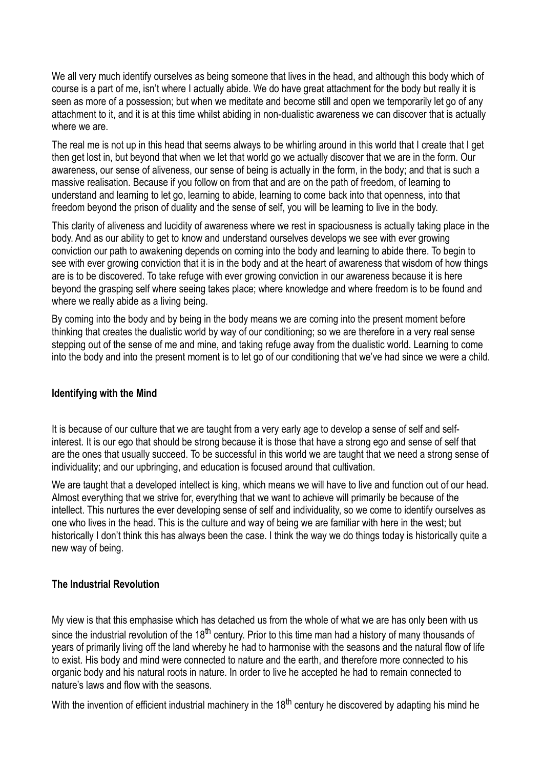We all very much identify ourselves as being someone that lives in the head, and although this body which of course is a part of me, isn't where I actually abide. We do have great attachment for the body but really it is seen as more of a possession; but when we meditate and become still and open we temporarily let go of any attachment to it, and it is at this time whilst abiding in non-dualistic awareness we can discover that is actually where we are.

The real me is not up in this head that seems always to be whirling around in this world that I create that I get then get lost in, but beyond that when we let that world go we actually discover that we are in the form. Our awareness, our sense of aliveness, our sense of being is actually in the form, in the body; and that is such a massive realisation. Because if you follow on from that and are on the path of freedom, of learning to understand and learning to let go, learning to abide, learning to come back into that openness, into that freedom beyond the prison of duality and the sense of self, you will be learning to live in the body.

This clarity of aliveness and lucidity of awareness where we rest in spaciousness is actually taking place in the body. And as our ability to get to know and understand ourselves develops we see with ever growing conviction our path to awakening depends on coming into the body and learning to abide there. To begin to see with ever growing conviction that it is in the body and at the heart of awareness that wisdom of how things are is to be discovered. To take refuge with ever growing conviction in our awareness because it is here beyond the grasping self where seeing takes place; where knowledge and where freedom is to be found and where we really abide as a living being.

By coming into the body and by being in the body means we are coming into the present moment before thinking that creates the dualistic world by way of our conditioning; so we are therefore in a very real sense stepping out of the sense of me and mine, and taking refuge away from the dualistic world. Learning to come into the body and into the present moment is to let go of our conditioning that we've had since we were a child.

#### **Identifying with the Mind**

It is because of our culture that we are taught from a very early age to develop a sense of self and selfinterest. It is our ego that should be strong because it is those that have a strong ego and sense of self that are the ones that usually succeed. To be successful in this world we are taught that we need a strong sense of individuality; and our upbringing, and education is focused around that cultivation.

We are taught that a developed intellect is king, which means we will have to live and function out of our head. Almost everything that we strive for, everything that we want to achieve will primarily be because of the intellect. This nurtures the ever developing sense of self and individuality, so we come to identify ourselves as one who lives in the head. This is the culture and way of being we are familiar with here in the west; but historically I don't think this has always been the case. I think the way we do things today is historically quite a new way of being.

#### **The Industrial Revolution**

My view is that this emphasise which has detached us from the whole of what we are has only been with us since the industrial revolution of the 18<sup>th</sup> century. Prior to this time man had a history of many thousands of years of primarily living off the land whereby he had to harmonise with the seasons and the natural flow of life to exist. His body and mind were connected to nature and the earth, and therefore more connected to his organic body and his natural roots in nature. In order to live he accepted he had to remain connected to nature's laws and flow with the seasons.

With the invention of efficient industrial machinery in the 18<sup>th</sup> century he discovered by adapting his mind he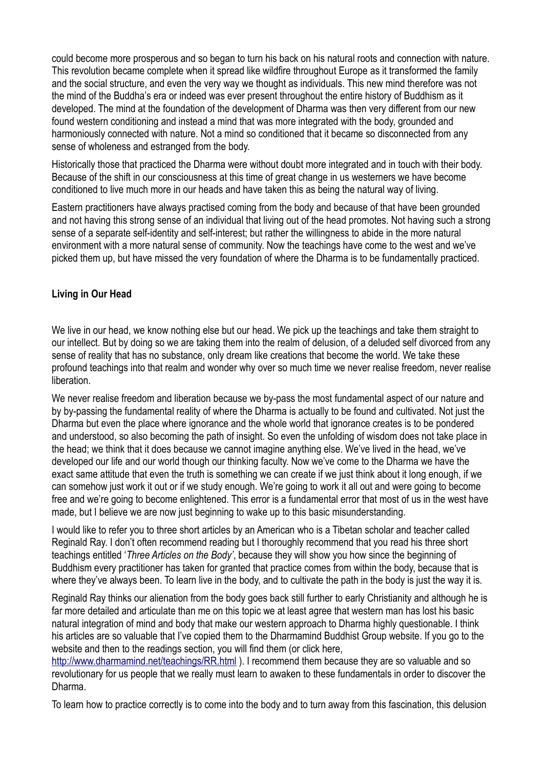could become more prosperous and so began to turn his back on his natural roots and connection with nature. This revolution became complete when it spread like wildfire throughout Europe as it transformed the family and the social structure, and even the very way we thought as individuals. This new mind therefore was not the mind of the Buddha's era or indeed was ever present throughout the entire history of Buddhism as it developed. The mind at the foundation of the development of Dharma was then very different from our new found western conditioning and instead a mind that was more integrated with the body, grounded and harmoniously connected with nature. Not a mind so conditioned that it became so disconnected from any sense of wholeness and estranged from the body.

Historically those that practiced the Dharma were without doubt more integrated and in touch with their body. Because of the shift in our consciousness at this time of great change in us westerners we have become conditioned to live much more in our heads and have taken this as being the natural way of living.

Eastern practitioners have always practised coming from the body and because of that have been grounded and not having this strong sense of an individual that living out of the head promotes. Not having such a strong sense of a separate self-identity and self-interest; but rather the willingness to abide in the more natural environment with a more natural sense of community. Now the teachings have come to the west and we've picked them up, but have missed the very foundation of where the Dharma is to be fundamentally practiced.

### **Living in Our Head**

We live in our head, we know nothing else but our head. We pick up the teachings and take them straight to our intellect. But by doing so we are taking them into the realm of delusion, of a deluded self divorced from any sense of reality that has no substance, only dream like creations that become the world. We take these profound teachings into that realm and wonder why over so much time we never realise freedom, never realise liberation.

We never realise freedom and liberation because we by-pass the most fundamental aspect of our nature and by by-passing the fundamental reality of where the Dharma is actually to be found and cultivated. Not just the Dharma but even the place where ignorance and the whole world that ignorance creates is to be pondered and understood, so also becoming the path of insight. So even the unfolding of wisdom does not take place in the head; we think that it does because we cannot imagine anything else. We've lived in the head, we've developed our life and our world though our thinking faculty. Now we've come to the Dharma we have the exact same attitude that even the truth is something we can create if we just think about it long enough, if we can somehow just work it out or if we study enough. We're going to work it all out and were going to become free and we're going to become enlightened. This error is a fundamental error that most of us in the west have made, but I believe we are now just beginning to wake up to this basic misunderstanding.

I would like to refer you to three short articles by an American who is a Tibetan scholar and teacher called Reginald Ray. I don't often recommend reading but I thoroughly recommend that you read his three short teachings entitled '*Three Articles on the Body'*, because they will show you how since the beginning of Buddhism every practitioner has taken for granted that practice comes from within the body, because that is where they've always been. To learn live in the body, and to cultivate the path in the body is just the way it is.

Reginald Ray thinks our alienation from the body goes back still further to early Christianity and although he is far more detailed and articulate than me on this topic we at least agree that western man has lost his basic natural integration of mind and body that make our western approach to Dharma highly questionable. I think his articles are so valuable that I've copied them to the Dharmamind Buddhist Group website. If you go to the website and then to the readings section, you will find them (or click here,

<http://www.dharmamind.net/teachings/RR.html>). I recommend them because they are so valuable and so revolutionary for us people that we really must learn to awaken to these fundamentals in order to discover the Dharma.

To learn how to practice correctly is to come into the body and to turn away from this fascination, this delusion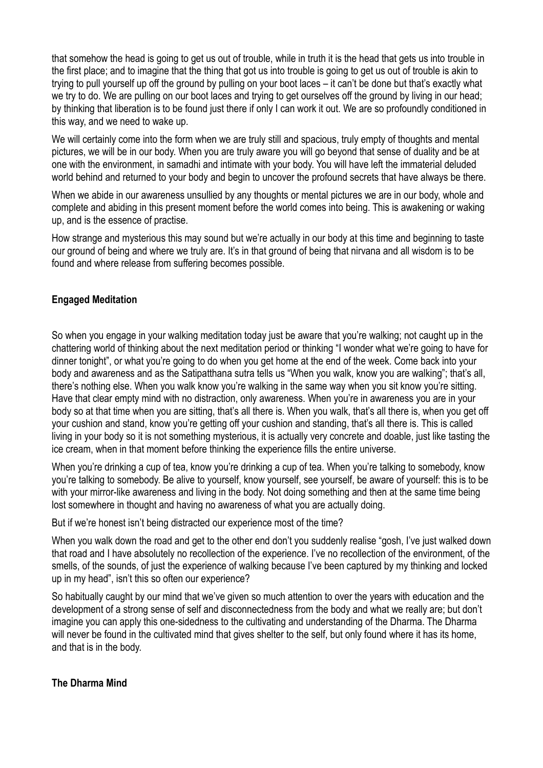that somehow the head is going to get us out of trouble, while in truth it is the head that gets us into trouble in the first place; and to imagine that the thing that got us into trouble is going to get us out of trouble is akin to trying to pull yourself up off the ground by pulling on your boot laces – it can't be done but that's exactly what we try to do. We are pulling on our boot laces and trying to get ourselves off the ground by living in our head; by thinking that liberation is to be found just there if only I can work it out. We are so profoundly conditioned in this way, and we need to wake up.

We will certainly come into the form when we are truly still and spacious, truly empty of thoughts and mental pictures, we will be in our body. When you are truly aware you will go beyond that sense of duality and be at one with the environment, in samadhi and intimate with your body. You will have left the immaterial deluded world behind and returned to your body and begin to uncover the profound secrets that have always be there.

When we abide in our awareness unsullied by any thoughts or mental pictures we are in our body, whole and complete and abiding in this present moment before the world comes into being. This is awakening or waking up, and is the essence of practise.

How strange and mysterious this may sound but we're actually in our body at this time and beginning to taste our ground of being and where we truly are. It's in that ground of being that nirvana and all wisdom is to be found and where release from suffering becomes possible.

## **Engaged Meditation**

So when you engage in your walking meditation today just be aware that you're walking; not caught up in the chattering world of thinking about the next meditation period or thinking "I wonder what we're going to have for dinner tonight", or what you're going to do when you get home at the end of the week. Come back into your body and awareness and as the Satipatthana sutra tells us "When you walk, know you are walking"; that's all, there's nothing else. When you walk know you're walking in the same way when you sit know you're sitting. Have that clear empty mind with no distraction, only awareness. When you're in awareness you are in your body so at that time when you are sitting, that's all there is. When you walk, that's all there is, when you get off your cushion and stand, know you're getting off your cushion and standing, that's all there is. This is called living in your body so it is not something mysterious, it is actually very concrete and doable, just like tasting the ice cream, when in that moment before thinking the experience fills the entire universe.

When you're drinking a cup of tea, know you're drinking a cup of tea. When you're talking to somebody, know you're talking to somebody. Be alive to yourself, know yourself, see yourself, be aware of yourself: this is to be with your mirror-like awareness and living in the body. Not doing something and then at the same time being lost somewhere in thought and having no awareness of what you are actually doing.

But if we're honest isn't being distracted our experience most of the time?

When you walk down the road and get to the other end don't you suddenly realise "gosh, I've just walked down that road and I have absolutely no recollection of the experience. I've no recollection of the environment, of the smells, of the sounds, of just the experience of walking because I've been captured by my thinking and locked up in my head", isn't this so often our experience?

So habitually caught by our mind that we've given so much attention to over the years with education and the development of a strong sense of self and disconnectedness from the body and what we really are; but don't imagine you can apply this one-sidedness to the cultivating and understanding of the Dharma. The Dharma will never be found in the cultivated mind that gives shelter to the self, but only found where it has its home, and that is in the body.

#### **The Dharma Mind**